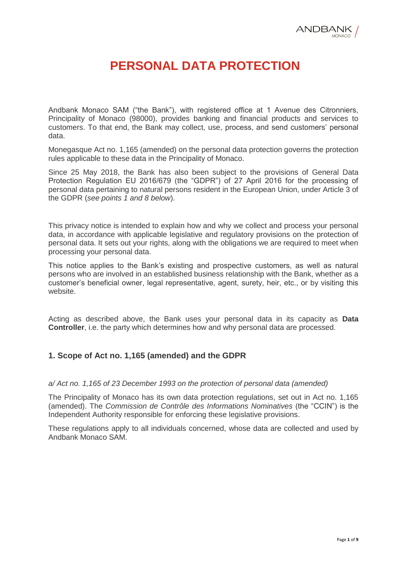# **PERSONAL DATA PROTECTION**

Andbank Monaco SAM ("the Bank"), with registered office at 1 Avenue des Citronniers, Principality of Monaco (98000), provides banking and financial products and services to customers. To that end, the Bank may collect, use, process, and send customers' personal data.

Monegasque Act no. 1,165 (amended) on the personal data protection governs the protection rules applicable to these data in the Principality of Monaco.

Since 25 May 2018, the Bank has also been subject to the provisions of General Data Protection Regulation EU 2016/679 (the "GDPR") of 27 April 2016 for the processing of personal data pertaining to natural persons resident in the European Union, under Article 3 of the GDPR (*see points 1 and 8 below*).

This privacy notice is intended to explain how and why we collect and process your personal data, in accordance with applicable legislative and regulatory provisions on the protection of personal data. It sets out your rights, along with the obligations we are required to meet when processing your personal data.

This notice applies to the Bank's existing and prospective customers, as well as natural persons who are involved in an established business relationship with the Bank, whether as a customer's beneficial owner, legal representative, agent, surety, heir, etc., or by visiting this website.

Acting as described above, the Bank uses your personal data in its capacity as **Data Controller**, i.e. the party which determines how and why personal data are processed.

# **1. Scope of Act no. 1,165 (amended) and the GDPR**

#### *a/ Act no. 1,165 of 23 December 1993 on the protection of personal data (amended)*

The Principality of Monaco has its own data protection regulations, set out in Act no. 1,165 (amended). The *Commission de Contrôle des Informations Nominatives* (the "CCIN") is the Independent Authority responsible for enforcing these legislative provisions.

These regulations apply to all individuals concerned, whose data are collected and used by Andbank Monaco SAM.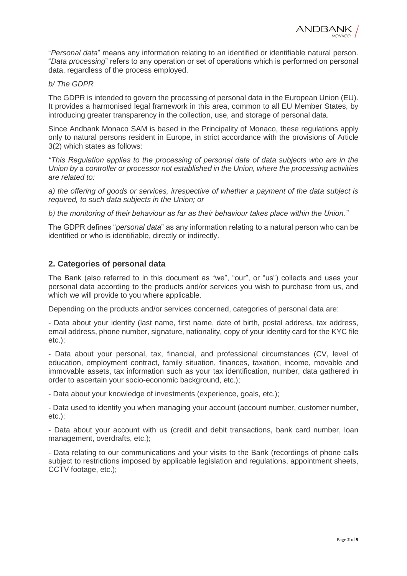"*Personal data*" means any information relating to an identified or identifiable natural person. "*Data processing*" refers to any operation or set of operations which is performed on personal data, regardless of the process employed.

#### *b/ The GDPR*

The GDPR is intended to govern the processing of personal data in the European Union (EU). It provides a harmonised legal framework in this area, common to all EU Member States, by introducing greater transparency in the collection, use, and storage of personal data.

Since Andbank Monaco SAM is based in the Principality of Monaco, these regulations apply only to natural persons resident in Europe, in strict accordance with the provisions of Article 3(2) which states as follows:

*"This Regulation applies to the processing of personal data of data subjects who are in the Union by a controller or processor not established in the Union, where the processing activities are related to:*

*a) the offering of goods or services, irrespective of whether a payment of the data subject is required, to such data subjects in the Union; or*

*b) the monitoring of their behaviour as far as their behaviour takes place within the Union."*

The GDPR defines "*personal data*" as any information relating to a natural person who can be identified or who is identifiable, directly or indirectly.

# **2. Categories of personal data**

The Bank (also referred to in this document as "we", "our", or "us") collects and uses your personal data according to the products and/or services you wish to purchase from us, and which we will provide to you where applicable.

Depending on the products and/or services concerned, categories of personal data are:

- Data about your identity (last name, first name, date of birth, postal address, tax address, email address, phone number, signature, nationality, copy of your identity card for the KYC file etc.);

- Data about your personal, tax, financial, and professional circumstances (CV, level of education, employment contract, family situation, finances, taxation, income, movable and immovable assets, tax information such as your tax identification, number, data gathered in order to ascertain your socio-economic background, etc.);

- Data about your knowledge of investments (experience, goals, etc.);

- Data used to identify you when managing your account (account number, customer number, etc.);

- Data about your account with us (credit and debit transactions, bank card number, loan management, overdrafts, etc.);

- Data relating to our communications and your visits to the Bank (recordings of phone calls subject to restrictions imposed by applicable legislation and regulations, appointment sheets, CCTV footage, etc.);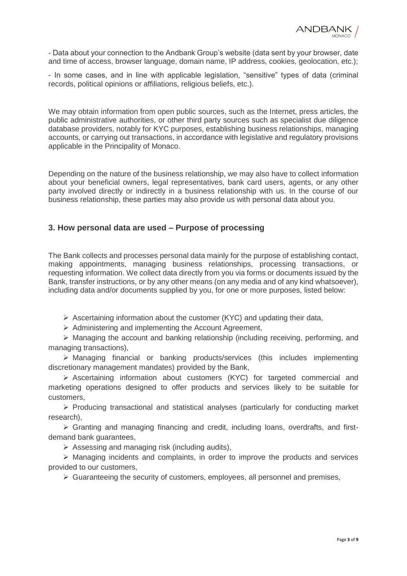

- Data about your connection to the Andbank Group's website (data sent by your browser, date and time of access, browser language, domain name, IP address, cookies, geolocation, etc.);

- In some cases, and in line with applicable legislation, "sensitive" types of data (criminal records, political opinions or affiliations, religious beliefs, etc.).

We may obtain information from open public sources, such as the Internet, press articles, the public administrative authorities, or other third party sources such as specialist due diligence database providers, notably for KYC purposes, establishing business relationships, managing accounts, or carrying out transactions, in accordance with legislative and regulatory provisions applicable in the Principality of Monaco.

Depending on the nature of the business relationship, we may also have to collect information about your beneficial owners, legal representatives, bank card users, agents, or any other party involved directly or indirectly in a business relationship with us. In the course of our business relationship, these parties may also provide us with personal data about you.

# **3. How personal data are used – Purpose of processing**

The Bank collects and processes personal data mainly for the purpose of establishing contact, making appointments, managing business relationships, processing transactions, or requesting information. We collect data directly from you via forms or documents issued by the Bank, transfer instructions, or by any other means (on any media and of any kind whatsoever), including data and/or documents supplied by you, for one or more purposes, listed below:

 $\triangleright$  Ascertaining information about the customer (KYC) and updating their data,

 $\triangleright$  Administering and implementing the Account Agreement,

 $\triangleright$  Managing the account and banking relationship (including receiving, performing, and managing transactions),

 Managing financial or banking products/services (this includes implementing discretionary management mandates) provided by the Bank,

 $\triangleright$  Ascertaining information about customers (KYC) for targeted commercial and marketing operations designed to offer products and services likely to be suitable for customers,

 $\triangleright$  Producing transactional and statistical analyses (particularly for conducting market research),

 Granting and managing financing and credit, including loans, overdrafts, and firstdemand bank guarantees,

 $\triangleright$  Assessing and managing risk (including audits),

 $\triangleright$  Managing incidents and complaints, in order to improve the products and services provided to our customers,

 $\triangleright$  Guaranteeing the security of customers, employees, all personnel and premises,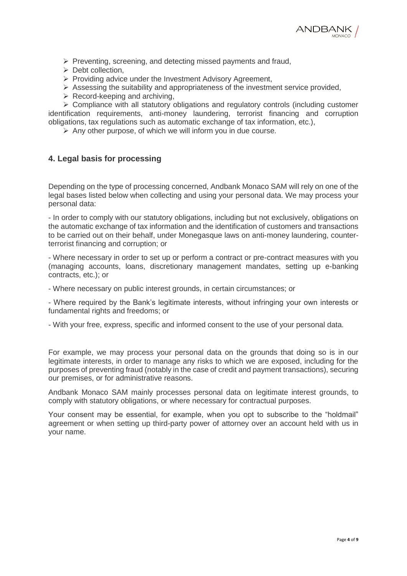

- $\triangleright$  Preventing, screening, and detecting missed payments and fraud,
- $\triangleright$  Debt collection,
- $\triangleright$  Providing advice under the Investment Advisory Agreement,
- $\triangleright$  Assessing the suitability and appropriateness of the investment service provided,
- $\triangleright$  Record-keeping and archiving,

 $\triangleright$  Compliance with all statutory obligations and regulatory controls (including customer identification requirements, anti-money laundering, terrorist financing and corruption obligations, tax regulations such as automatic exchange of tax information, etc.),

 $\triangleright$  Any other purpose, of which we will inform you in due course.

# **4. Legal basis for processing**

Depending on the type of processing concerned, Andbank Monaco SAM will rely on one of the legal bases listed below when collecting and using your personal data. We may process your personal data:

- In order to comply with our statutory obligations, including but not exclusively, obligations on the automatic exchange of tax information and the identification of customers and transactions to be carried out on their behalf, under Monegasque laws on anti-money laundering, counterterrorist financing and corruption; or

- Where necessary in order to set up or perform a contract or pre-contract measures with you (managing accounts, loans, discretionary management mandates, setting up e-banking contracts, etc.); or

- Where necessary on public interest grounds, in certain circumstances; or

- Where required by the Bank's legitimate interests, without infringing your own interests or fundamental rights and freedoms; or

- With your free, express, specific and informed consent to the use of your personal data.

For example, we may process your personal data on the grounds that doing so is in our legitimate interests, in order to manage any risks to which we are exposed, including for the purposes of preventing fraud (notably in the case of credit and payment transactions), securing our premises, or for administrative reasons.

Andbank Monaco SAM mainly processes personal data on legitimate interest grounds, to comply with statutory obligations, or where necessary for contractual purposes.

Your consent may be essential, for example, when you opt to subscribe to the "holdmail" agreement or when setting up third-party power of attorney over an account held with us in your name.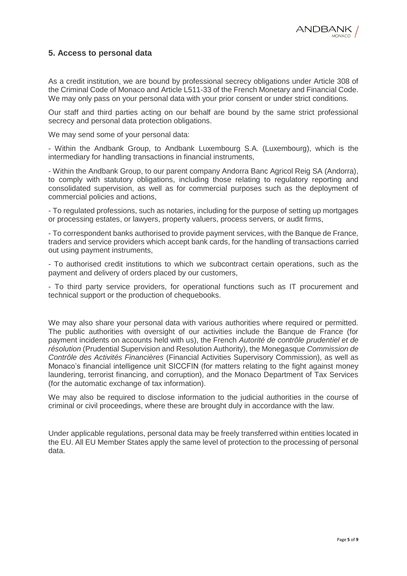# **5. Access to personal data**

As a credit institution, we are bound by professional secrecy obligations under Article 308 of the Criminal Code of Monaco and Article L511-33 of the French Monetary and Financial Code. We may only pass on your personal data with your prior consent or under strict conditions.

Our staff and third parties acting on our behalf are bound by the same strict professional secrecy and personal data protection obligations.

We may send some of your personal data:

- Within the Andbank Group, to Andbank Luxembourg S.A. (Luxembourg), which is the intermediary for handling transactions in financial instruments,

- Within the Andbank Group, to our parent company Andorra Banc Agricol Reig SA (Andorra), to comply with statutory obligations, including those relating to regulatory reporting and consolidated supervision, as well as for commercial purposes such as the deployment of commercial policies and actions,

- To regulated professions, such as notaries, including for the purpose of setting up mortgages or processing estates, or lawyers, property valuers, process servers, or audit firms,

- To correspondent banks authorised to provide payment services, with the Banque de France, traders and service providers which accept bank cards, for the handling of transactions carried out using payment instruments,

- To authorised credit institutions to which we subcontract certain operations, such as the payment and delivery of orders placed by our customers,

- To third party service providers, for operational functions such as IT procurement and technical support or the production of chequebooks.

We may also share your personal data with various authorities where required or permitted. The public authorities with oversight of our activities include the Banque de France (for payment incidents on accounts held with us), the French *Autorité de contrôle prudentiel et de résolution* (Prudential Supervision and Resolution Authority), the Monegasque *Commission de Contrôle des Activités Financières* (Financial Activities Supervisory Commission), as well as Monaco's financial intelligence unit SICCFIN (for matters relating to the fight against money laundering, terrorist financing, and corruption), and the Monaco Department of Tax Services (for the automatic exchange of tax information).

We may also be required to disclose information to the judicial authorities in the course of criminal or civil proceedings, where these are brought duly in accordance with the law.

Under applicable regulations, personal data may be freely transferred within entities located in the EU. All EU Member States apply the same level of protection to the processing of personal data.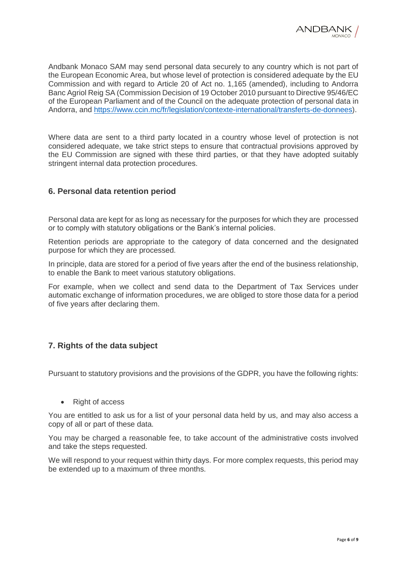Andbank Monaco SAM may send personal data securely to any country which is not part of the European Economic Area, but whose level of protection is considered adequate by the EU Commission and with regard to Article 20 of Act no. 1,165 (amended), including to Andorra Banc Agriol Reig SA (Commission Decision of 19 October 2010 pursuant to Directive 95/46/EC of the European Parliament and of the Council on the adequate protection of personal data in Andorra, and [https://www.ccin.mc/fr/legislation/contexte-international/transferts-de-donnees\)](https://www.ccin.mc/fr/legislation/contexte-international/transferts-de-donnees).

Where data are sent to a third party located in a country whose level of protection is not considered adequate, we take strict steps to ensure that contractual provisions approved by the EU Commission are signed with these third parties, or that they have adopted suitably stringent internal data protection procedures.

# **6. Personal data retention period**

Personal data are kept for as long as necessary for the purposes for which they are processed or to comply with statutory obligations or the Bank's internal policies.

Retention periods are appropriate to the category of data concerned and the designated purpose for which they are processed.

In principle, data are stored for a period of five years after the end of the business relationship, to enable the Bank to meet various statutory obligations.

For example, when we collect and send data to the Department of Tax Services under automatic exchange of information procedures, we are obliged to store those data for a period of five years after declaring them.

# **7. Rights of the data subject**

Pursuant to statutory provisions and the provisions of the GDPR, you have the following rights:

• Right of access

You are entitled to ask us for a list of your personal data held by us, and may also access a copy of all or part of these data.

You may be charged a reasonable fee, to take account of the administrative costs involved and take the steps requested.

We will respond to your request within thirty days. For more complex requests, this period may be extended up to a maximum of three months.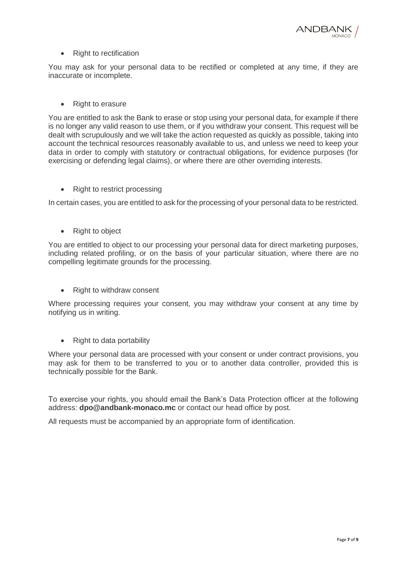

#### • Right to rectification

You may ask for your personal data to be rectified or completed at any time, if they are inaccurate or incomplete.

• Right to erasure

You are entitled to ask the Bank to erase or stop using your personal data, for example if there is no longer any valid reason to use them, or if you withdraw your consent. This request will be dealt with scrupulously and we will take the action requested as quickly as possible, taking into account the technical resources reasonably available to us, and unless we need to keep your data in order to comply with statutory or contractual obligations, for evidence purposes (for exercising or defending legal claims), or where there are other overriding interests.

• Right to restrict processing

In certain cases, you are entitled to ask for the processing of your personal data to be restricted.

• Right to object

You are entitled to object to our processing your personal data for direct marketing purposes, including related profiling, or on the basis of your particular situation, where there are no compelling legitimate grounds for the processing.

• Right to withdraw consent

Where processing requires your consent, you may withdraw your consent at any time by notifying us in writing.

• Right to data portability

Where your personal data are processed with your consent or under contract provisions, you may ask for them to be transferred to you or to another data controller, provided this is technically possible for the Bank.

To exercise your rights, you should email the Bank's Data Protection officer at the following address: **dpo@andbank-monaco.mc** or contact our head office by post.

All requests must be accompanied by an appropriate form of identification.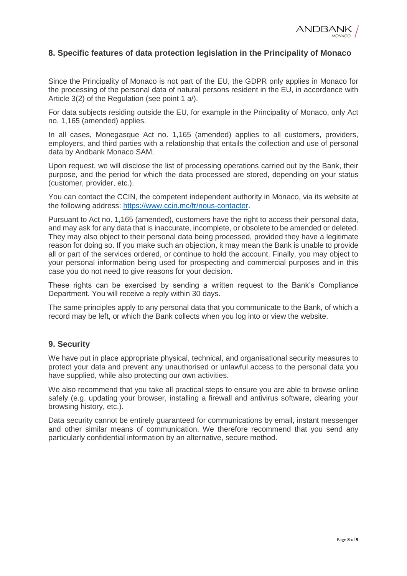

# **8. Specific features of data protection legislation in the Principality of Monaco**

Since the Principality of Monaco is not part of the EU, the GDPR only applies in Monaco for the processing of the personal data of natural persons resident in the EU, in accordance with Article 3(2) of the Regulation (see point 1 a/).

For data subjects residing outside the EU, for example in the Principality of Monaco, only Act no. 1,165 (amended) applies.

In all cases, Monegasque Act no. 1,165 (amended) applies to all customers, providers, employers, and third parties with a relationship that entails the collection and use of personal data by Andbank Monaco SAM.

Upon request, we will disclose the list of processing operations carried out by the Bank, their purpose, and the period for which the data processed are stored, depending on your status (customer, provider, etc.).

You can contact the CCIN, the competent independent authority in Monaco, via its website at the following address: [https://www.ccin.mc/fr/nous-contacter.](https://www.ccin.mc/fr/nous-contacter)

Pursuant to Act no. 1,165 (amended), customers have the right to access their personal data, and may ask for any data that is inaccurate, incomplete, or obsolete to be amended or deleted. They may also object to their personal data being processed, provided they have a legitimate reason for doing so. If you make such an objection, it may mean the Bank is unable to provide all or part of the services ordered, or continue to hold the account. Finally, you may object to your personal information being used for prospecting and commercial purposes and in this case you do not need to give reasons for your decision.

These rights can be exercised by sending a written request to the Bank's Compliance Department. You will receive a reply within 30 days.

The same principles apply to any personal data that you communicate to the Bank, of which a record may be left, or which the Bank collects when you log into or view the website.

#### **9. Security**

We have put in place appropriate physical, technical, and organisational security measures to protect your data and prevent any unauthorised or unlawful access to the personal data you have supplied, while also protecting our own activities.

We also recommend that you take all practical steps to ensure you are able to browse online safely (e.g. updating your browser, installing a firewall and antivirus software, clearing your browsing history, etc.).

Data security cannot be entirely guaranteed for communications by email, instant messenger and other similar means of communication. We therefore recommend that you send any particularly confidential information by an alternative, secure method.